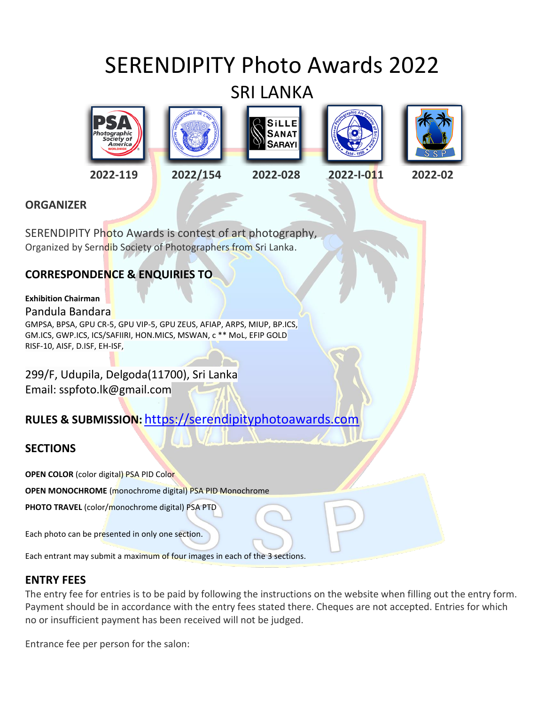# SERENDIPITY Photo Awards 2022

# SRI LANKA











- -



## **ORGANIZER**

SERENDIPITY Photo Awards is contest of art photography, Organized by Serndib Society of Photographers from Sri Lanka.

## **CORRESPONDENCE & ENQUIRIES TO**

## **Exhibition Chairman**

## Pandula Bandara

GMPSA, BPSA, GPU CR-5, GPU VIP-5, GPU ZEUS, AFIAP, ARPS, MIUP, BP.ICS, GM.ICS, GWP.ICS, ICS/SAFIIRI, HON.MICS, MSWAN, c \*\* MoL, EFIP GOLD RISF-10, AISF, D.ISF, EH-ISF,

299/F, Udupila, Delgoda(11700), Sri Lanka Email: sspfoto.lk@gmail.com

## **RULES & SUBMISSION:** [https://serendipityphotoawards.com](https://serendipityphotoawards.com/)

## **SECTIONS**

**OPEN COLOR** (color digital) PSA PID Color

**OPEN MONOCHROME** (monochrome digital) PSA PID Monochrome

**PHOTO TRAVEL** (color/monochrome digital) PSA PTD

Each photo can be presented in only one section.

Each entrant may submit a maximum of four images in each of the 3 sections.

## **ENTRY FEES**

The entry fee for entries is to be paid by following the instructions on the website when filling out the entry form. Payment should be in accordance with the entry fees stated there. Cheques are not accepted. Entries for which no or insufficient payment has been received will not be judged.

Entrance fee per person for the salon: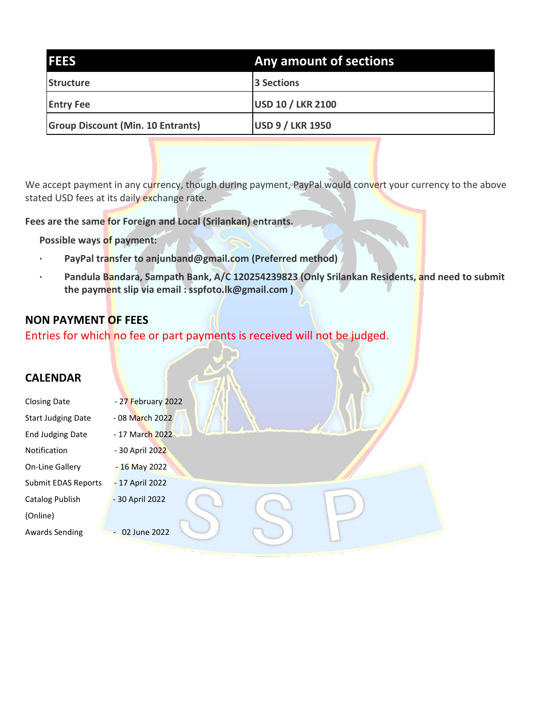| <b>IFEES</b>                             | Any amount of sections   |
|------------------------------------------|--------------------------|
| Structure                                | 3 Sections               |
| <b>Entry Fee</b>                         | <b>USD 10 / LKR 2100</b> |
| <b>Group Discount (Min. 10 Entrants)</b> | <b>USD 9 / LKR 1950</b>  |

We accept payment in any currency, though during payment, PayPal would convert your currency to the above stated USD fees at its daily exchange rate.

**Fees are the same for Foreign and Local (Srilankan) entrants.**

**Possible ways of payment:**

- **· PayPal transfer to anjunband@gmail.com (Preferred method)**
- Pandula Bandara, Sampath Bank, A/C 120254239823 (Only Srilankan Residents, and need to submit **the payment slip via email : sspfoto.lk@gmail.com )**

## **NON PAYMENT OF FEES**

Entries for which no fee or part payments is received will not be judged.

## **CALENDAR**

| <b>Closing Date</b>       | - 27 February 2022 |  |  |
|---------------------------|--------------------|--|--|
| <b>Start Judging Date</b> | - 08 March 2022    |  |  |
| <b>End Judging Date</b>   | - 17 March 2022    |  |  |
| Notification              | - 30 April 2022    |  |  |
| On-Line Gallery           | $-16$ May 2022     |  |  |
| Submit EDAS Reports       | - 17 April 2022    |  |  |
| Catalog Publish           | - 30 April 2022    |  |  |
| (Online)                  |                    |  |  |
| <b>Awards Sending</b>     | $-02$ June 2022    |  |  |
|                           |                    |  |  |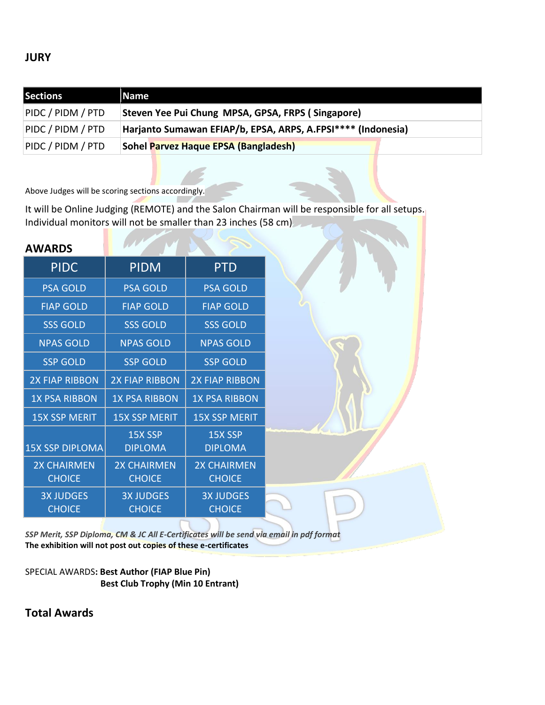## **JURY**

| <b>Sections</b>   | Name                                                         |
|-------------------|--------------------------------------------------------------|
| PIDC / PIDM / PTD | Steven Yee Pui Chung MPSA, GPSA, FRPS (Singapore)            |
| PIDC / PIDM / PTD | Harjanto Sumawan EFIAP/b, EPSA, ARPS, A.FPSI**** (Indonesia) |
| PIDC / PIDM / PTD | <b>Sohel Parvez Haque EPSA (Bangladesh)</b>                  |

Above Judges will be scoring sections accordingly.

It will be Online Judging (REMOTE) and the Salon Chairman will be responsible for all setups. Individual monitors will not be smaller than 23 inches (58 cm)

| <b>AWARDS</b>                       |                                     |                                     |  |
|-------------------------------------|-------------------------------------|-------------------------------------|--|
| <b>PIDC</b>                         | <b>PIDM</b>                         | <b>PTD</b>                          |  |
| <b>PSA GOLD</b>                     | <b>PSA GOLD</b>                     | <b>PSA GOLD</b>                     |  |
| <b>FIAP GOLD</b>                    | <b>FIAP GOLD</b>                    | <b>FIAP GOLD</b>                    |  |
| <b>SSS GOLD</b>                     | <b>SSS GOLD</b>                     | <b>SSS GOLD</b>                     |  |
| <b>NPAS GOLD</b>                    | <b>NPAS GOLD</b>                    | <b>NPAS GOLD</b>                    |  |
| <b>SSP GOLD</b>                     | <b>SSP GOLD</b>                     | <b>SSP GOLD</b>                     |  |
| <b>2X FIAP RIBBON</b>               | <b>2X FIAP RIBBON</b>               | <b>2X FIAP RIBBON</b>               |  |
| <b>1X PSA RIBBON</b>                | <b>1X PSA RIBBON</b>                | <b>1X PSA RIBBON</b>                |  |
| <b>15X SSP MERIT</b>                | <b>15X SSP MERIT</b>                | <b>15X SSP MERIT</b>                |  |
| 15X SSP DIPLOMA                     | 15X SSP<br><b>DIPLOMA</b>           | 15X SSP<br><b>DIPLOMA</b>           |  |
| <b>2X CHAIRMEN</b><br><b>CHOICE</b> | <b>2X CHAIRMEN</b><br><b>CHOICE</b> | <b>2X CHAIRMEN</b><br><b>CHOICE</b> |  |
| <b>3X JUDGES</b><br><b>CHOICE</b>   | <b>3X JUDGES</b><br><b>CHOICE</b>   | <b>3X JUDGES</b><br><b>CHOICE</b>   |  |
|                                     |                                     |                                     |  |

*SSP Merit, SSP Diploma, CM & JC All E-Certificates will be send via email in pdf format* **The exhibition will not post out copies of these e-certificates**

SPECIAL AWARDS**: Best Author (FIAP Blue Pin) Best Club Trophy (Min 10 Entrant)**

**Total Awards**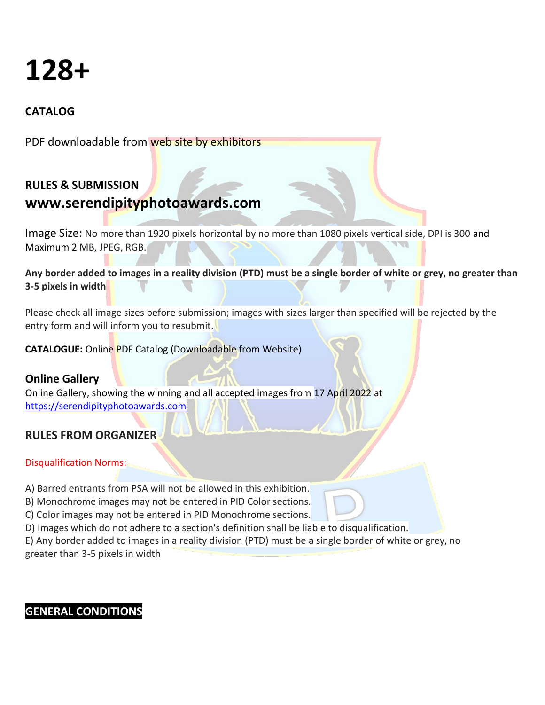# **128+**

## **CATALOG**

PDF downloadable from web site by exhibitors

## **RULES & SUBMISSION www.serendipityphotoawards.com**

Image Size: No more than 1920 pixels horizontal by no more than 1080 pixels vertical side, DPI is 300 and Maximum 2 MB, JPEG, RGB.

**Any border added to images in a reality division (PTD) must be a single border of white or grey, no greater than 3-5 pixels in width**

Please check all image sizes before submission; images with sizes larger than specified will be rejected by the entry form and will inform you to resubmit.

## **CATALOGUE:** Online PDF Catalog (Downloadable from Website)

## **Online Gallery**

Online Gallery, showing the winning and all accepted images from 17 April 2022 at [https://serendipityphotoawards.com](https://serendipityphotoawards.com/)

## **RULES FROM ORGANIZER**

Disqualification Norms:

- A) Barred entrants from PSA will not be allowed in this exhibition.
- B) Monochrome images may not be entered in PID Color sections.
- C) Color images may not be entered in PID Monochrome sections.
- D) Images which do not adhere to a section's definition shall be liable to disqualification.

E) Any border added to images in a reality division (PTD) must be a single border of white or grey, no greater than 3-5 pixels in width

## **GENERAL CONDITIONS**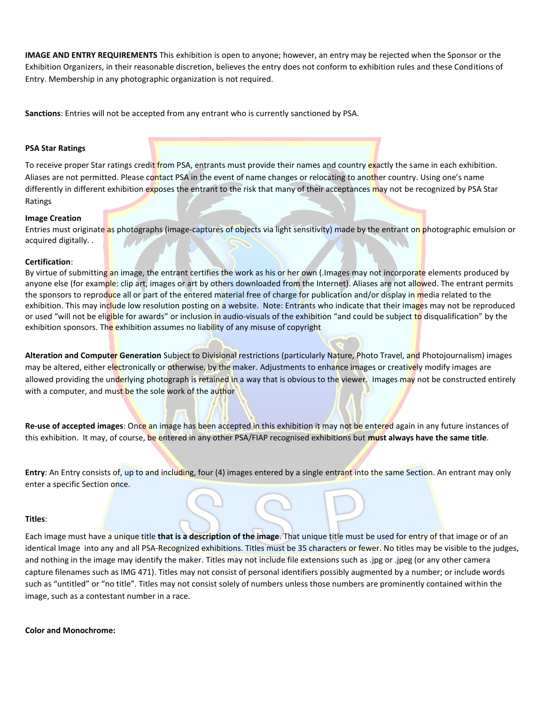**IMAGE AND ENTRY REQUIREMENTS** This exhibition is open to anyone; however, an entry may be rejected when the Sponsor or the Exhibition Organizers, in their reasonable discretion, believes the entry does not conform to exhibition rules and these Conditions of Entry. Membership in any photographic organization is not required.

**Sanctions**: Entries will not be accepted from any entrant who is currently sanctioned by PSA.

#### **PSA Star Ratings**

To receive proper Star ratings credit from PSA, entrants must provide their names and country exactly the same in each exhibition. Aliases are not permitted. Please contact PSA in the event of name changes or relocating to another country. Using one's name differently in different exhibition exposes the entrant to the risk that many of their acceptances may not be recognized by PSA Star Ratings

#### **Image Creation**

Entries must originate as photographs (image-captures of objects via light sensitivity) made by the entrant on photographic emulsion or acquired digitally. .  $\sim$ 

#### **Certification**:

By virtue of submitting an image, the entrant certifies the work as his or her own (.Images may not incorporate elements produced by anyone else (for example: clip art, images or art by others downloaded from the Internet). Aliases are not allowed. The entrant permits the sponsors to reproduce all or part of the entered material free of charge for publication and/or display in media related to the exhibition. This may include low resolution posting on a website. Note: Entrants who indicate that their images may not be reproduced or used "will not be eligible for awards" or inclusion in audio-visuals of the exhibition "and could be subject to disqualification" by the exhibition sponsors. The exhibition assumes no liability of any misuse of copyright

**Alteration and Computer Generation** Subject to Divisional restrictions (particularly Nature, Photo Travel, and Photojournalism) images may be altered, either electronically or otherwise, by the maker. Adjustments to enhance images or creatively modify images are allowed providing the underlying photograph is retained in a way that is obvious to the viewer. Images may not be constructed entirely with a computer, and must be the sole work of the author

**Re-use of accepted images**: Once an image has been accepted in this exhibition it may not be entered again in any future instances of this exhibition. It may, of course, be entered in any other PSA/FIAP recognised exhibitions but **must always have the same title**.

**Entry**: An Entry consists of, up to and including, four (4) images entered by a single entrant into the same Section. An entrant may only enter a specific Section once.

#### **Titles**:

Each image must have a unique title **that is a description of the image**. That unique title must be used for entry of that image or of an identical Image into any and all PSA-Recognized exhibitions. Titles must be 35 characters or fewer. No titles may be visible to the judges, and nothing in the image may identify the maker. Titles may not include file extensions such as .jpg or .jpeg (or any other camera capture filenames such as IMG 471). Titles may not consist of personal identifiers possibly augmented by a number; or include words such as "untitled" or "no title". Titles may not consist solely of numbers unless those numbers are prominently contained within the image, such as a contestant number in a race.

#### **Color and Monochrome:**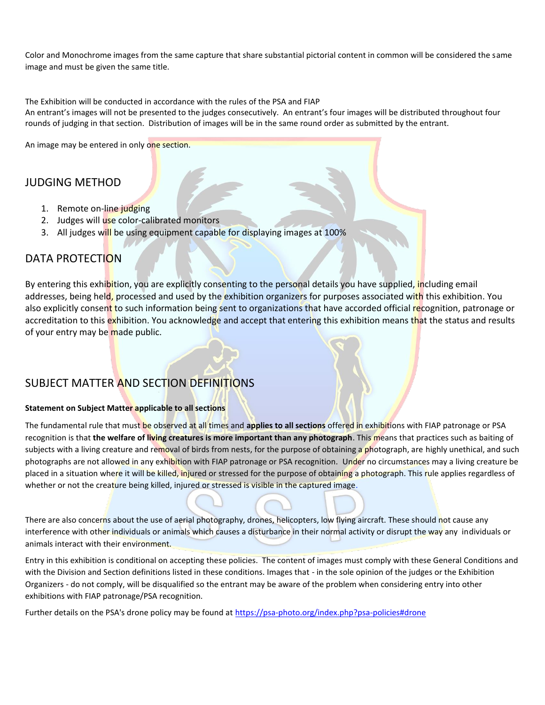Color and Monochrome images from the same capture that share substantial pictorial content in common will be considered the same image and must be given the same title.

The Exhibition will be conducted in accordance with the rules of the PSA and FIAP

An entrant's images will not be presented to the judges consecutively. An entrant's four images will be distributed throughout four rounds of judging in that section. Distribution of images will be in the same round order as submitted by the entrant.

An image may be entered in only one section.

## JUDGING METHOD

- 1. Remote on-line judging
- 2. Judges will use color-calibrated monitors
- 3. All judges will be using equipment capable for displaying images at 100%

## DATA PROTECTION

By entering this exhibition, you are explicitly consenting to the personal details you have supplied, including email addresses, being hel<mark>d, processed and used by the exhibition organizers</mark> for purposes associated wi<mark>th</mark> this exhibition. You also explicitly consent to such information being sent to organizations that have accorded official recognition, patronage or accreditation to this exhibition. You acknowledge and accept that entering this exhibition means that the status and results of your entry may be made public.

## SUBJECT MATTER AND SECTION DEFINITIONS

#### **Statement on Subject Matter applicable to all sections**

The fundamental rule that must be observed at all times and **applies to all sections** offered in exhibitions with FIAP patronage or PSA recognition is that **the welfare of living creatures is more important than any photograph**. This means that practices such as baiting of subjects with a living creature and removal of birds from nests, for the purpose of obtaining a photograph, are highly unethical, and such photographs are not allowed in any exhibition with FIAP patronage or PSA recognition. Under no circumstances may a living creature be placed in a situation where it will be killed, injured or stressed for the purpose of obtaining a photograph. This rule applies regardless of whether or not the creature being killed, injured or stressed is visible in the captured image.

There are also concerns about the use of aerial photography, drones, helicopters, low flying aircraft. These should not cause any interference with other individuals or animals which causes a disturbance in their normal activity or disrupt the way any individuals or animals interact with their environment.

Entry in this exhibition is conditional on accepting these policies. The content of images must comply with these General Conditions and with the Division and Section definitions listed in these conditions. Images that - in the sole opinion of the judges or the Exhibition Organizers - do not comply, will be disqualified so the entrant may be aware of the problem when considering entry into other exhibitions with FIAP patronage/PSA recognition.

Further details on the PSA's drone policy may be found at [https://psa-photo.org/index.php?psa-policies#drone](https://psa-photo.org/index.php?psa-policies%23drone)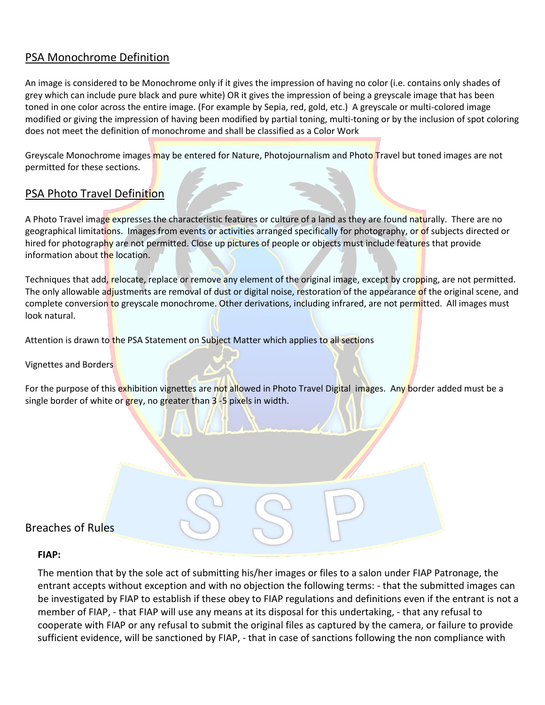## PSA Monochrome Definition

An image is considered to be Monochrome only if it gives the impression of having no color (i.e. contains only shades of grey which can include pure black and pure white) OR it gives the impression of being a greyscale image that has been toned in one color across the entire image. (For example by Sepia, red, gold, etc.) A greyscale or multi-colored image modified or giving the impression of having been modified by partial toning, multi-toning or by the inclusion of spot coloring does not meet the definition of monochrome and shall be classified as a Color Work

Greyscale Monochrome images may be entered for Nature, Photojournalism and Photo Travel but toned images are not permitted for these sections.

## PSA Photo Travel Definition

A Photo Travel image expresses the characteristic features or culture of a land as they are found naturally. There are no geographical limitations. Images from events or activities arranged specifically for photography, or of subjects directed or hired for photography are not permitted. Close up pictures of people or objects must include features that provide information about the location.

Techniques that add, relocate, replace or remove any element of the original image, except by cropping, are not permitted. The only allowable adjustments are removal of dust or digital noise, restoration of the appearance of the original scene, and complete conversion to greyscale monochrome. Other derivations, including infrared, are not permitted. All images must look natural.

Attention is drawn to the PSA Statement on Subject Matter which applies to all sections

Vignettes and Borders

For the purpose of this exhibition vignettes are not allowed in Photo Travel Digital images. Any border added must be a single border of white or grey, no greater than 3-5 pixels in width.

## Breaches of Rules

#### **FIAP:**

The mention that by the sole act of submitting his/her images or files to a salon under FIAP Patronage, the entrant accepts without exception and with no objection the following terms: - that the submitted images can be investigated by FIAP to establish if these obey to FIAP regulations and definitions even if the entrant is not a member of FIAP, - that FIAP will use any means at its disposal for this undertaking, - that any refusal to cooperate with FIAP or any refusal to submit the original files as captured by the camera, or failure to provide sufficient evidence, will be sanctioned by FIAP, - that in case of sanctions following the non compliance with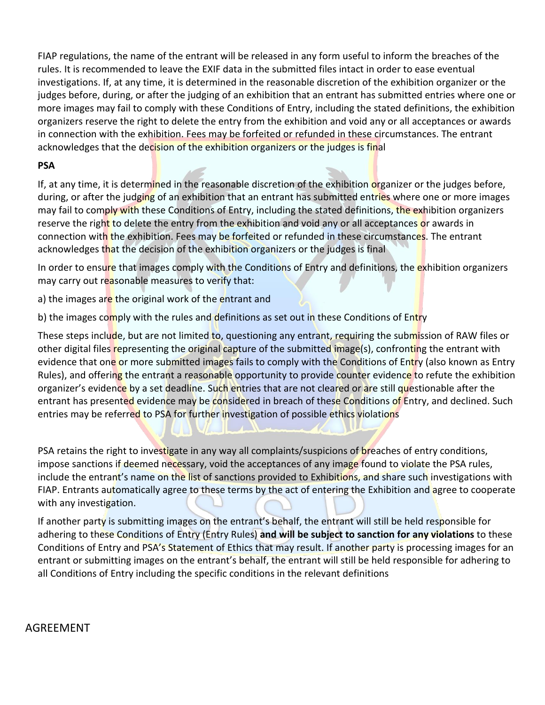FIAP regulations, the name of the entrant will be released in any form useful to inform the breaches of the rules. It is recommended to leave the EXIF data in the submitted files intact in order to ease eventual investigations. If, at any time, it is determined in the reasonable discretion of the exhibition organizer or the judges before, during, or after the judging of an exhibition that an entrant has submitted entries where one or more images may fail to comply with these Conditions of Entry, including the stated definitions, the exhibition organizers reserve the right to delete the entry from the exhibition and void any or all acceptances or awards in connection with the exhibition. Fees may be forfeited or refunded in these circumstances. The entrant acknowledges that the decision of the exhibition organizers or the judges is final

### **PSA**

If, at any time, it is determined in the reasonable discretion of the exhibition organizer or the judges before, during, or after the judging of an exhibition that an entrant has submitted entries where one or more images may fail to comply with these Conditions of Entry, including the stated definitions, the exhibition organizers reserve the right to delete the entry from the exhibition and void any or all acceptances or awards in connection with the exhibition. Fees may be forfeited or refunded in these circumstances. The entrant acknowledges that the decision of the exhibition organizers or the judges is final

In order to ensure that images comply with the Conditions of Entry and definitions, the exhibition organizers may carry out reasonable measures to verify that:

a) the images are the original work of the entrant and

b) the images comply with the rules and definitions as set out in these Conditions of Entry

These steps include, but are not limited to, questioning any entrant, requiring the submission of RAW files or other digital files representing the original capture of the submitted image(s), confronting the entrant with evidence that one or more submitted images fails to comply with the Conditions of Entry (also known as Entry Rules), and offering the entrant a reasonable opportunity to provide counter evidence to refute the exhibition organizer's evidence by a set deadline. Such entries that are not cleared or are still questionable after the entrant has presented evidence may be considered in breach of these Conditions of Entry, and declined. Such entries may be referred to PSA for further investigation of possible ethics violations

PSA retains the right to investigate in any way all complaints/suspicions of breaches of entry conditions, impose sanctions if deemed necessary, void the acceptances of any image found to violate the PSA rules, include the entrant's name on the list of sanctions provided to Exhibitions, and share such investigations with FIAP. Entrants automatically agree to these terms by the act of entering the Exhibition and agree to cooperate with any investigation.

If another party is submitting images on the entrant's behalf, the entrant will still be held responsible for adhering to these Conditions of Entry (Entry Rules) **and will be subject to sanction for any violations** to these Conditions of Entry and PSA's Statement of Ethics that may result. If another party is processing images for an entrant or submitting images on the entrant's behalf, the entrant will still be held responsible for adhering to all Conditions of Entry including the specific conditions in the relevant definitions

## AGREEMENT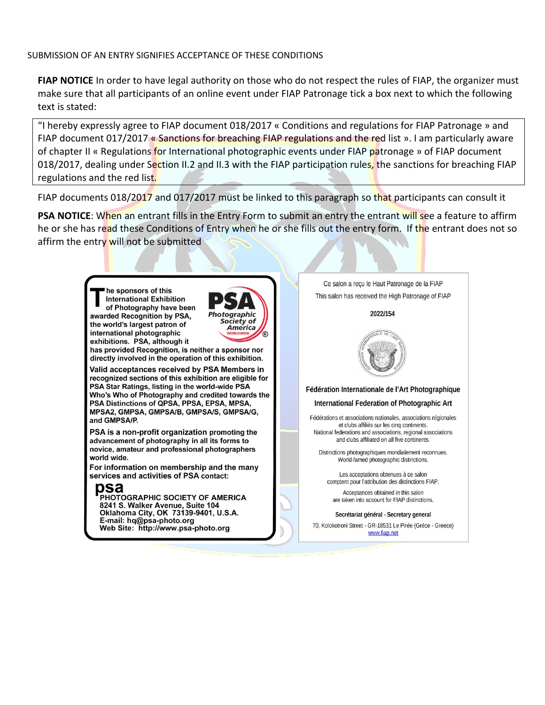#### SUBMISSION OF AN ENTRY SIGNIFIES ACCEPTANCE OF THESE CONDITIONS

**FIAP NOTICE** In order to have legal authority on those who do not respect the rules of FIAP, the organizer must make sure that all participants of an online event under FIAP Patronage tick a box next to which the following text is stated:

"I hereby expressly agree to FIAP document 018/2017 « Conditions and regulations for FIAP Patronage » and FIAP document 017/2017 « Sanctions for breaching FIAP regulations and the red list ». I am particularly aware of chapter II « Regulations for International photographic events under FIAP patronage » of FIAP document 018/2017, dealing under Section II.2 and II.3 with the FIAP participation rules, the sanctions for breaching FIAP regulations and the red list.

FIAP documents 018/2017 and 017/2017 must be linked to this paragraph so that participants can consult it

**PSA NOTICE:** When an entrant fills in the Entry Form to submit an entry the entrant will see a feature to affirm he or she has read these Conditions of Entry when he or she fills out the entry form. If the entrant does not so affirm the entry will not be submitted